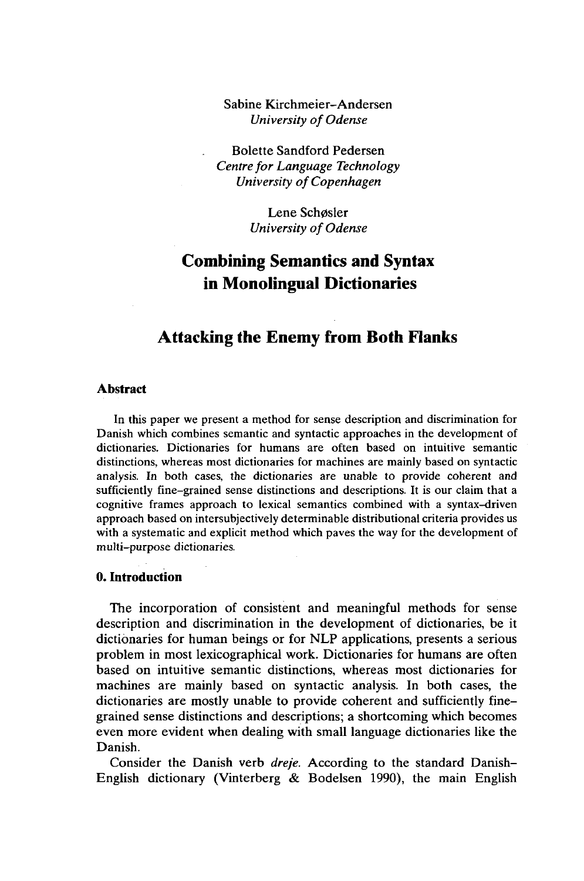Sabine Kirchmeier-Andersen *University* of Odense

Bolette Sandford Pedersen *Centre for Language Technology University ofCopenhagen*

> Lene Schøsler *University of Odense*

# **Combining Semantics and Syntax in Monolingual Dictionaries**

## **Attacking the Enemy from Both Flanks**

#### **Abstract**

In this paper we present a method for sense description and discrimination for Danish which combines semantic and syntactic approaches in the development of dictionaries. Dictionaries for humans are often based on intuitive semantic distinctions, whereas most dictionaries for machines are mainly based on syntactic analysis. In both cases, the dictionaries are unable to provide coherent and sufficiently fine-grained sense distinctions and descriptions. It is our claim that a cognitive frames approach to lexical semantics combined with a syntax-driven approach based on intersubjectively determinable distributional criteria provides us with a systematic and explicit method which paves the way for the development of multi-purpose dictionaries.

### **0. Introduction**

The incorporation of consistent and meaningful methods for sense description and discrimination in the development of dictionaries, be it dictionaries for human beings or for NLP applications, presents a serious problem in most lexicographical work. Dictionaries for humans are often based on intuitive semantic distinctions, whereas most dictionaries for machines are mainly based on syntactic analysis. In both cases, the dictionaries are mostly unable to provide coherent and sufficiently finegrained sense distinctions and descriptions; a shortcoming which becomes even more evident when dealing with small language dictionaries like the Danish.

Consider the Danish verb *dreje.* According to the standard Danish-English dictionary (Vinterberg & Bodelsen 1990), the main English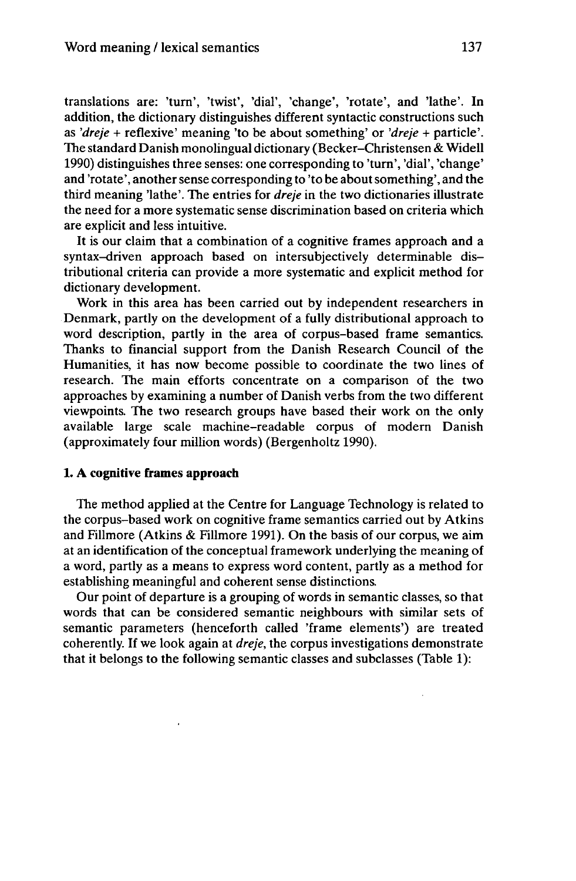translations are: 'turn', 'twist', 'dial', 'change', 'rotate', and 'lathe'. In addition, the dictionary distinguishes different syntactic constructions such as *'dreje <sup>+</sup>* reflexive' meaning 'to be about something' or *'dreje* + particle'. The standard Danish monolingual dictionary (Becker-Christensen & Widell 1990) distinguishes three senses: one corresponding to 'turn', 'dial', 'change' and 'rotate', another sense corresponding to 'to be about something', and the third meaning 'lathe'. The entries for *dreje* in the two dictionaries illustrate the need for a more systematic sense discrimination based on criteria which are explicit and less intuitive.

It is our claim that a combination of a cognitive frames approach and a syntax-driven approach based on intersubjectively determinable distributional criteria can provide a more systematic and explicit method for dictionary development.

Work in this area has been carried out by independent researchers in Denmark, partly on the development of a fully distributional approach to word description, partly in the area of corpus-based frame semantics. Thanks to financial support from the Danish Research Council of the Humanities, it has now become possible to coordinate the two lines of research. The main efforts concentrate on a comparison of the two approaches by examining a number of Danish verbs from the two different viewpoints. The two research groups have based their work on the only available large scale machine-readable corpus of modern Danish (approximately four million words) (Bergenholtz 1990).

#### **1. A cognitive frames approach**

 $\cdot$ 

The method applied at the Centre for Language Technology is related to the corpus-based work on cognitive frame semantics carried out by Atkins and Fillmore (Atkins & Fillmore 1991). On the basis of our corpus, we aim at an identification of the conceptual framework underlying the meaning of a word, partly as a means to express word content, partly as a method for establishing meaningful and coherent sense distinctions.

Our point of departure is a grouping of words in semantic classes, so that words that can be considered semantic neighbours with similar sets of semantic parameters (henceforth called 'frame elements') are treated coherently. If we look again at *dreje,* the corpus investigations demonstrate that it belongs to the following semantic classes and subclasses (Table 1):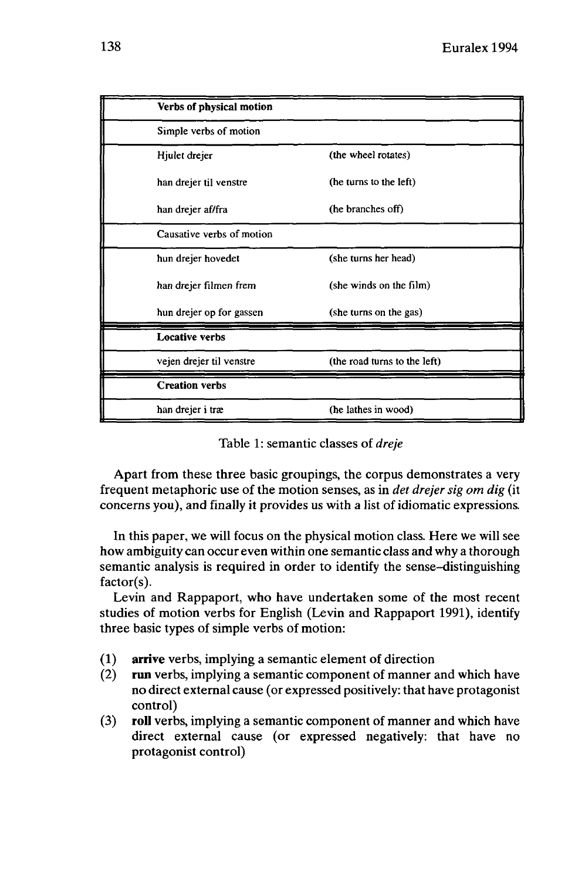| Verbs of physical motion  |                              |
|---------------------------|------------------------------|
| Simple verbs of motion    |                              |
| Hjulet drejer             | (the wheel rotates)          |
| han drejer til venstre    | (he turns to the left)       |
| han drejer af/fra         | (he branches off)            |
| Causative verbs of motion |                              |
| hun drejer hovedet        | (she turns her head)         |
| han drejer filmen frem    | (she winds on the film)      |
| hun drejer op for gassen  | (she turns on the gas)       |
| <b>Locative verbs</b>     |                              |
| vejen drejer til venstre  | (the road turns to the left) |
| <b>Creation verbs</b>     |                              |
| han drejer i træ          | (he lathes in wood)          |

Apart from these three basic groupings, the corpus demonstrates a very frequent metaphoric use of the motion senses, as in *det drejer sig om dig* (it concerns you), and finally it provides us with a list of idiomatic expressions.

In this paper, we will focus on the physical motion class. Here we will see how ambiguity can occur even within one semantic class and why a thorough semantic analysis is required in order to identify the sense-distinguishing factor(s).

Levin and Rappaport, who have undertaken some of the most recent studies of motion verbs for English (Levin and Rappaport 1991), identify three basic types of simple verbs of motion:

- (1) **arrive** verbs, implying a semantic element of direction
- (2) **run** verbs, implying a semantic component of manner and which have no direct external cause (or expressed positively: that have protagonist control)
- (3) **roll** verbs, implying a semantic component of manner and which have direct external cause (or expressed negatively: that have no protagonist control)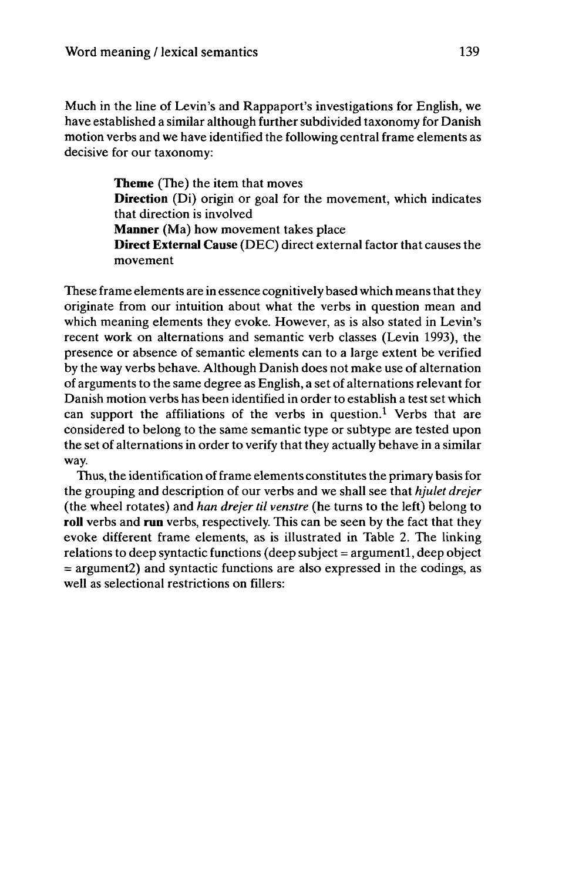Much in the line of Levin's and Rappaport's investigations for English, we have established a similar although further subdivided taxonomy for Danish motion verbs and we have identified the following central frame elements as decisive for our taxonomy:

> **Theme** (The) the item that moves **Direction** (Di) origin or goal for the movement, which indicates that direction is involved **Manner** (Ma) how movement takes place **Direct External Cause** (DEC) direct external factor that causes the movement

These frame elements are in essence cognitively based which means that they originate from our intuition about what the verbs in question mean and which meaning elements they evoke. However, as is also stated in Levin's recent work on alternations and semantic verb classes (Levin 1993), the presence or absence of semantic elements can to a large extent be verified by the way verbs behave. Although Danish does not make use of alternation of arguments to the same degree as English, a set of alternations relevant for Danish motion verbs has been identified in order to establish a test set which can support the affiliations of the verbs in question.<sup>1</sup> Verbs that are considered to belong to the same semantic type or subtype are tested upon the set of alternations in order to verify that they actually behave in a similar way.

Thus, the identification of frame elements constitutes the primary basis for the grouping and description of our verbs and we shall see that *hjulet drejer* (the wheel rotates) and *han drejer til venstre* (he turns to the left) belong to **roll** verbs and **run** verbs, respectively. This can be seen by the fact that they evoke different frame elements, as is illustrated in Table 2. The linking  $relations to deep syntactic functions (deep subject = argument1, deep object$ = argument2) and syntactic functions are also expressed in the codings, as well as selectional restrictions on fillers: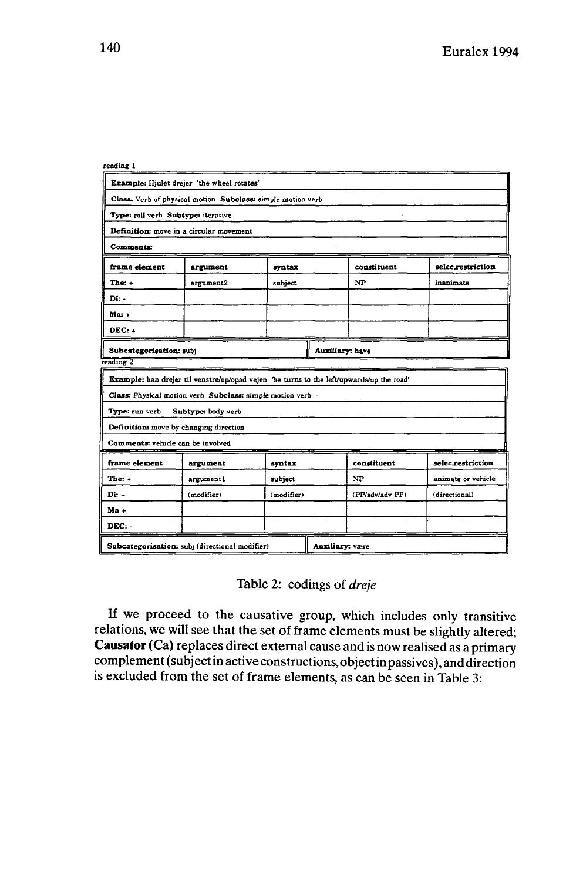| reading 1                                                                                |                                                            |            |  |                 |                    |
|------------------------------------------------------------------------------------------|------------------------------------------------------------|------------|--|-----------------|--------------------|
| Example: Hjulet drejer 'the wheel rotates'                                               |                                                            |            |  |                 |                    |
| Class: Verb of physical motion Subclass: simple motion verb                              |                                                            |            |  |                 |                    |
| Type: roll verb Subtype: iterative                                                       |                                                            |            |  |                 |                    |
|                                                                                          | Definition: move in a circular movement                    |            |  |                 |                    |
| Comments:                                                                                |                                                            |            |  |                 |                    |
| frame element                                                                            | argument                                                   | syntax     |  | constituent     | selec.restriction  |
| The: +                                                                                   | argument2                                                  | subject    |  | NP              | inanimate          |
| Di: -                                                                                    |                                                            |            |  |                 |                    |
| $Ma. +$                                                                                  |                                                            |            |  |                 |                    |
| $DEC. +$                                                                                 |                                                            |            |  |                 |                    |
| Subcategorisation: subj<br>Auxiliary: have                                               |                                                            |            |  |                 |                    |
| reading 2                                                                                |                                                            |            |  |                 |                    |
| Example: han drejer til venstre/op/opad vejen "he turns to the left/upwards/up the road" |                                                            |            |  |                 |                    |
|                                                                                          | Class: Physical motion verb Subclass: simple motion verb . |            |  |                 |                    |
| Type: run verb<br>Subtype: body verb                                                     |                                                            |            |  |                 |                    |
| Definition: move by changing direction                                                   |                                                            |            |  |                 |                    |
| Comments: vehicle can be involved                                                        |                                                            |            |  |                 |                    |
| frame element                                                                            | argument                                                   | syntax     |  | constituent     | selec.restriction  |
| The: +                                                                                   | argumentl                                                  | subject    |  | <b>NP</b>       | animate or vehicle |
| Di: +                                                                                    | (modifier)                                                 | (modifier) |  | (PP/adv/adv PP) | (directional)      |
| Ma +                                                                                     |                                                            |            |  |                 |                    |
| DEC: -                                                                                   |                                                            |            |  |                 |                    |
| Subcategorisation: subj (directional modifier)<br>Auxiliary: være                        |                                                            |            |  |                 |                    |

### Table 2: codings of *dreje*

If we proceed to the causative group, which includes only transitive relations, we will see that the set of frame elements must be slightly altered; **Causator** (Ca) replaces direct external cause and is now realised as a primary complement (subject in active constructions, object in passives), and direction is excluded from the set of frame elements, as can be seen in Table 3: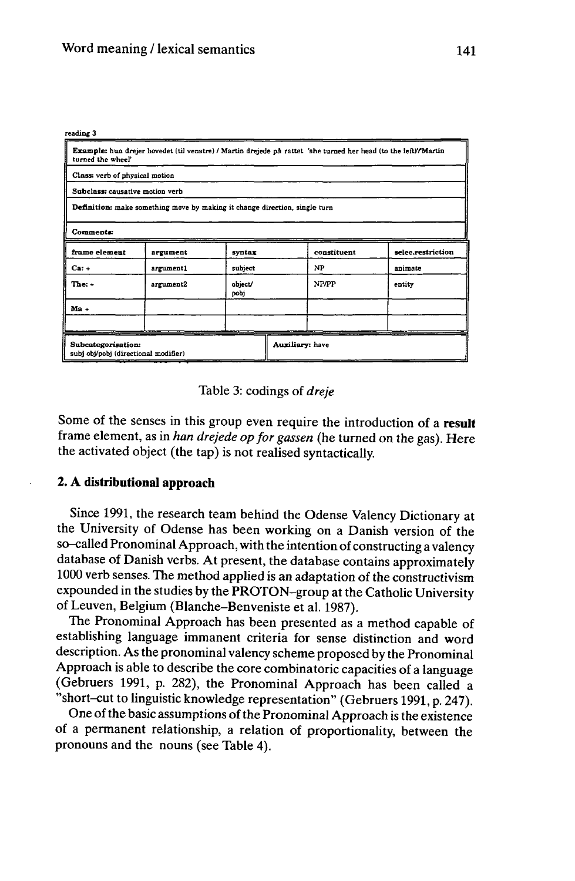|--|--|

| turned the wheel'                                          |                                                                            |                        |  |              | Example: hun drejer hovedet (til venstre) / Martin drejede på rattet 'she turned her head (to the left)'/'Martin |
|------------------------------------------------------------|----------------------------------------------------------------------------|------------------------|--|--------------|------------------------------------------------------------------------------------------------------------------|
| Class: verb of physical motion                             |                                                                            |                        |  |              |                                                                                                                  |
| Subclass: causative motion verb                            |                                                                            |                        |  |              |                                                                                                                  |
|                                                            | Definition: make something move by making it change direction, single turn |                        |  |              |                                                                                                                  |
| <b>Comments:</b>                                           |                                                                            |                        |  |              |                                                                                                                  |
| frame element                                              | argument                                                                   | syntax                 |  | constituent  | selec.restriction                                                                                                |
| $Car +$                                                    | argument1                                                                  | subject                |  | NP.          | animate                                                                                                          |
| The: $+$                                                   | argument2                                                                  | obiect/<br>pobj        |  | <b>NP/PP</b> | entity                                                                                                           |
| $Ma +$                                                     |                                                                            |                        |  |              |                                                                                                                  |
|                                                            |                                                                            |                        |  |              |                                                                                                                  |
| Subcategorisation:<br>subj obj/pobj (directional modifier) |                                                                            | <b>Auxiliary:</b> have |  |              |                                                                                                                  |

Table 3: codings of *dreje*

Some of the senses in this group even require the introduction of a **result** frame element, as in *han drejede op for gassen* (he turned on the gas). Here the activated object (the tap) is not realised syntactically.

#### **2. A distributional approach**

Since 1991, the research team behind the Odense Valency Dictionary at the University of Odense has been working on a Danish version of the so-called Pronominal Approach, with the intention of constructing a valency database of Danish verbs. At present, the database contains approximately 1000 verb senses. The method applied is an adaptation of the constructivism expounded in the studies by the PROTON-group at the Catholic University of Leuven, Belgium (Blanche-Benveniste et al. 1987).

The Pronominal Approach has been presented as a method capable of establishing language immanent criteria for sense distinction and word description. Asthe pronominal valency scheme proposed by the Pronominal Approach is able to describe the core combinatoric capacities of a language (Gebruers 1991, p. 282), the Pronominal Approach has been called a "short-cut to linguistic knowledge representation" (Gebruers 1991, p. 247).

One of the basic assumptions of the Pronominal Approach is the existence of a permanent relationship, a relation of proportionality, between the pronouns and the nouns (see Table 4).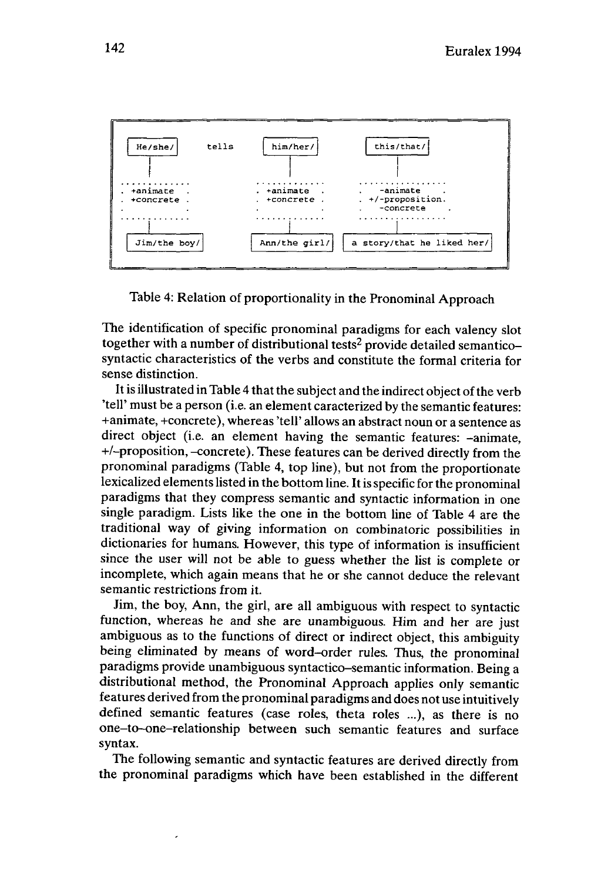

Table 4: Relation of proportionality in the Pronominal Approach

The identification of specific pronominal paradigms for each valency slot together with a number of distributional tests<sup>2</sup> provide detailed semanticosyntactic characteristics of the verbs and constitute the formal criteria for sense distinction.

It is illustrated in Table 4 that the subject and the indirect object of the verb 'tell' must be a person (i.e. an element caracterized by the semantic features: +animate, +concrete), whereas 'tell' allows an abstract noun or a sentence as direct object (i.e. an element having the semantic features: -animate, +/-proposition, -concrete). These features can be derived directly from the pronominal paradigms (Table 4, top line), but not from the proportionate lexicalized elements listed in the bottom line. It is specific for the pronominal paradigms that they compress semantic and syntactic information in one single paradigm. Lists like the one in the bottom line of Table 4 are the traditional way of giving information on combinatoric possibilities in dictionaries for humans. However, this type of information is insufficient since the user will not be able to guess whether the list is complete or incomplete, which again means that he or she cannot deduce the relevant semantic restrictions from it.

Jim, the boy, Ann, the girl, are all ambiguous with respect to syntactic function, whereas he and she are unambiguous. Him and her are just ambiguous as to the functions of direct or indirect object, this ambiguity being eliminated by means of word-order rules. Thus, the pronominal paradigms provide unambiguous syntactico-semantic information. Being a distributional method, the Pronominal Approach applies only semantic features derived from the pronominal paradigms and does not use intuitively defined semantic features (case roles, theta roles ...), as there is no one-to-one-relationship between such semantic features and surface syntax.

The following semantic and syntactic features are derived directly from the pronominal paradigms which have been established in the different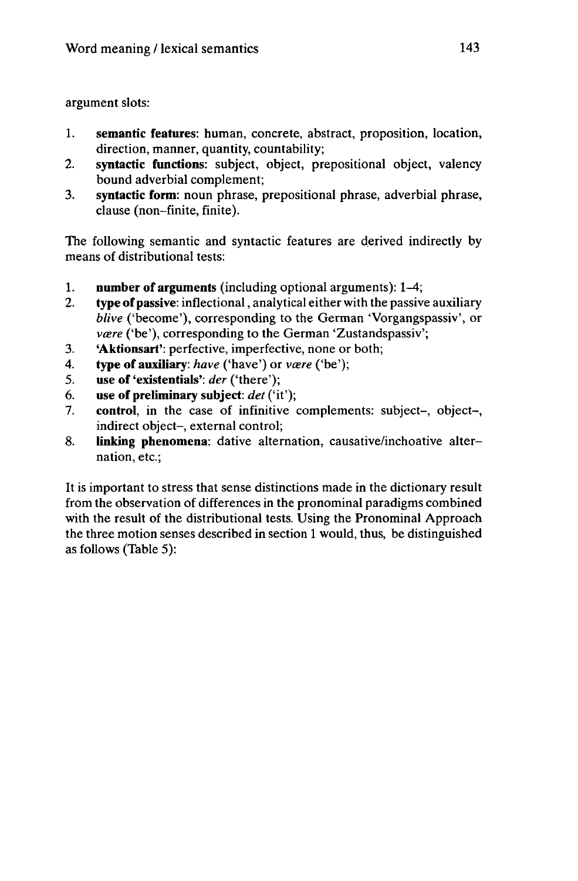argument slots:

- 1. **semantic features:** human, concrete, abstract, proposition, location, direction, manner, quantity, countability;
- 2. **syntactic functions:** subject, object, prepositional object, valency bound adverbial complement;
- 3. **syntactic form:** noun phrase, prepositional phrase, adverbial phrase, clause (non-finite, finite).

The following semantic and syntactic features are derived indirectly by means of distributional tests:

- 1. **number of arguments** (including optional arguments): 1-4;
- 2. **type ofpassive:** inflectional, analytical either with the passive auxiliary *blive* ('become'), corresponding to the German 'Vorgangspassiv', or *være* ('be'), corresponding to the German 'Zustandspassiv';
- 3. **'Aktionsart':** perfective, imperfective, none or both;
- 4. **type of auxiliary**: have ('have') or *være* ('be');
- 5. **use of**'existentials': *der* ('there');
- 6. **use of preliminary subject:** *det* **('it');**
- **7. control,** in the case of infinitive complements: subject-, object-, indirect object-, external control;
- 8. **linking phenomena:** dative alternation, causative/inchoative alternation, etc.;

It is important to stress that sense distinctions made in the dictionary result from the observation of differences in the pronominal paradigms combined with the result of the distributional tests. Using the Pronominal Approach the three motion senses described in section <sup>1</sup> would, thus, be distinguished as follows (Table 5):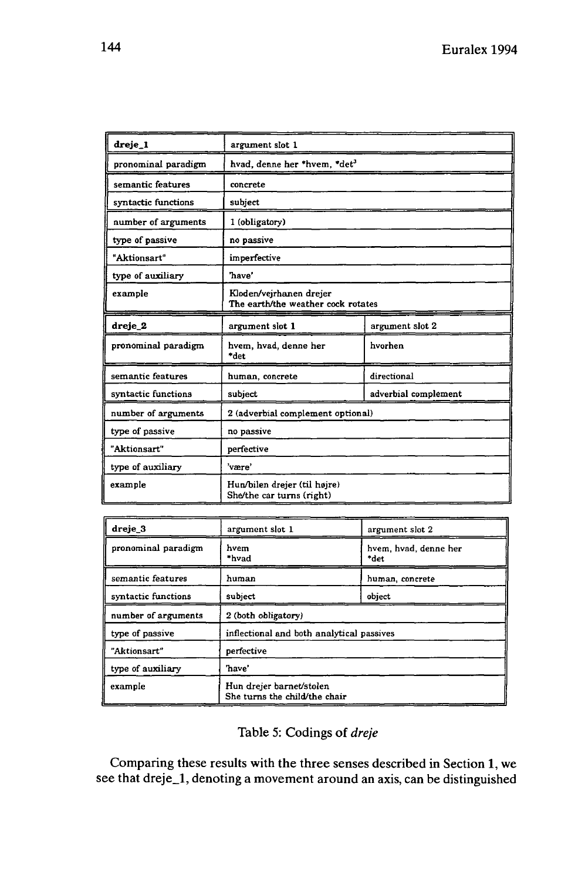| dreje_1             | argument slot 1                                               |                      |  |  |
|---------------------|---------------------------------------------------------------|----------------------|--|--|
| pronominal paradigm | hvad, denne her *hvem, *det <sup>3</sup>                      |                      |  |  |
| semantic features   | concrete                                                      |                      |  |  |
| syntactic functions | subject                                                       |                      |  |  |
| number of arguments | 1 (obligatory)                                                |                      |  |  |
| type of passive     | no passive                                                    |                      |  |  |
| "Aktionsart"        | imperfective                                                  |                      |  |  |
| type of auxiliary   | 'have'                                                        |                      |  |  |
| example             | Kloden/vejrhanen drejer<br>The earth/the weather cock rotates |                      |  |  |
|                     |                                                               |                      |  |  |
| dreje_2             | argument slot 1                                               | argument slot 2      |  |  |
| pronominal paradigm | hvem, hvad, denne her<br>*det                                 | hvorhen              |  |  |
| semantic features   | human, concrete                                               | directional          |  |  |
| syntactic functions | subject                                                       | adverbial complement |  |  |
| number of arguments | 2 (adverbial complement optional)                             |                      |  |  |
| type of passive     | no passive                                                    |                      |  |  |
| "Aktionsart"        | perfective                                                    |                      |  |  |
| type of auxiliary   | 'være'                                                        |                      |  |  |

| dreje 3             | argument slot 1                                           | argument slot 2               |  |
|---------------------|-----------------------------------------------------------|-------------------------------|--|
| pronominal paradigm | hvem<br>*hvad                                             | hvem, hvad, denne her<br>*det |  |
| semantic features   | human                                                     | human, concrete               |  |
| syntactic functions | subject                                                   | object                        |  |
| number of arguments | 2 (both obligatory)                                       |                               |  |
| type of passive     | inflectional and both analytical passives                 |                               |  |
| "Aktionsart"        | perfective                                                |                               |  |
| type of auxiliary   | 'have'                                                    |                               |  |
| example             | Hun drejer barnet/stolen<br>She turns the child/the chair |                               |  |

## Table 5: Codings of *dreje*

Comparing these results with the three senses described in Section 1, we see that dreje\_l, denoting a movement around an axis, can be distinguished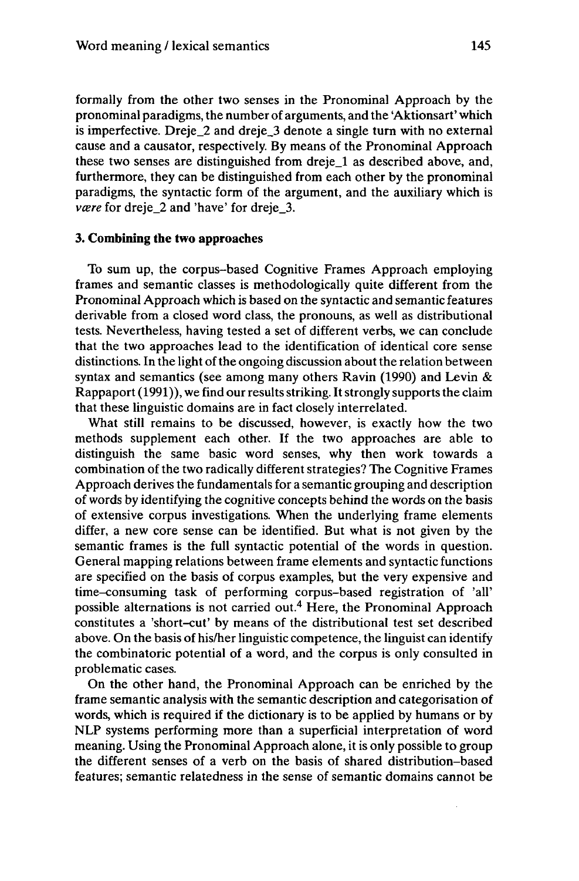formally from the other two senses in the Pronominal Approach by the pronominal paradigms, the number of arguments, and the 'Aktionsart' which is imperfective. Dreje\_2 and dreje\_3 denote a single turn with no external cause and a causator, respectively. By means of the Pronominal Approach these two senses are distinguished from dreje\_l as described above, and, furthermore, they can be distinguished from each other by the pronominal paradigms, the syntactic form of the argument, and the auxiliary which is *være* for dreje 2 and 'have' for dreje 3.

#### **3. Combining the two approaches**

To sum up, the corpus-based Cognitive Frames Approach employing frames and semantic classes is methodologically quite different from the Pronominal Approach which is based on the syntactic and semantic features derivable from a closed word class, the pronouns, as well as distributional tests. Nevertheless, having tested a set of different verbs, we can conclude that the two approaches lead to the identification of identical core sense distinctions. In the light of the ongoing discussion about the relation between syntax and semantics (see among many others Ravin  $(1990)$  and Levin & Rappaport (1991)), we find our results striking. It strongly supports the claim that these linguistic domains are in fact closely interrelated.

What still remains to be discussed, however, is exactly how the two methods supplement each other. If the two approaches are able to distinguish the same basic word senses, why then work towards a combination of the two radically different strategies? The Cognitive Frames Approach derives the fundamentals for a semantic grouping and description of words by identifying the cognitive concepts behind the words on the basis of extensive corpus investigations. When the underlying frame elements differ, a new core sense can be identified. But what is not given by the semantic frames is the full syntactic potential of the words in question. General mapping relations between frame elements and syntactic functions are specified on the basis of corpus examples, but the very expensive and time-consuming task of performing corpus-based registration of 'all' possible alternations is not carried out.<sup>4</sup> Here, the Pronominal Approach constitutes a 'short-cut' by means of the distributional test set described above. On the basis of his/her linguistic competence, the linguist can identify the combinatoric potential of a word, and the corpus is only consulted in problematic cases.

On the other hand, the Pronominal Approach can be enriched by the frame semantic analysis with the semantic description and categorisation of words, which is required if the dictionary is to be applied by humans or by NLP systems performing more than a superficial interpretation of word meaning. Using the Pronominal Approach alone, it is only possible to group the different senses of a verb on the basis of shared distribution-based features; semantic relatedness in the sense of semantic domains cannot be